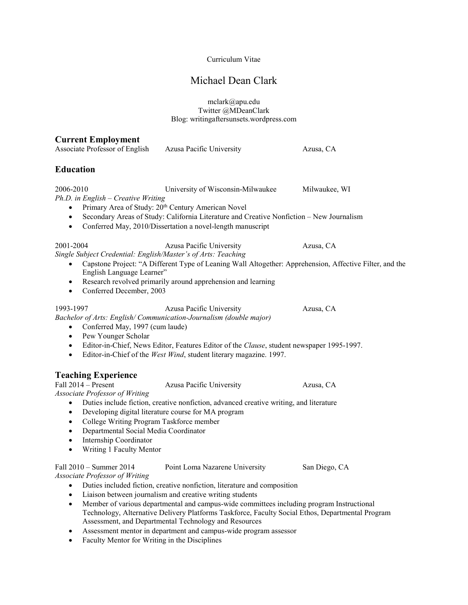### Curriculum Vitae

# Michael Dean Clark

mclark@apu.edu Twitter @MDeanClark Blog: writingaftersunsets.wordpress.com

### **Current Employment**

| Associate Professor of English                                                                                                                                             | Azusa Pacific University                                                                                                                                                                                                                                         | Azusa, CA                                                                                                            |
|----------------------------------------------------------------------------------------------------------------------------------------------------------------------------|------------------------------------------------------------------------------------------------------------------------------------------------------------------------------------------------------------------------------------------------------------------|----------------------------------------------------------------------------------------------------------------------|
| <b>Education</b>                                                                                                                                                           |                                                                                                                                                                                                                                                                  |                                                                                                                      |
| 2006-2010<br>$Ph.D.$ in English – Creative Writing<br>$\bullet$<br>$\bullet$                                                                                               | University of Wisconsin-Milwaukee<br>Primary Area of Study: 20 <sup>th</sup> Century American Novel<br>Secondary Areas of Study: California Literature and Creative Nonfiction - New Journalism<br>Conferred May, 2010/Dissertation a novel-length manuscript    | Milwaukee, WI                                                                                                        |
| 2001-2004<br>Single Subject Credential: English/Master's of Arts: Teaching<br>$\bullet$<br>English Language Learner"<br>$\bullet$<br>Conferred December, 2003<br>$\bullet$ | Azusa Pacific University<br>Research revolved primarily around apprehension and learning                                                                                                                                                                         | Azusa, CA<br>Capstone Project: "A Different Type of Leaning Wall Altogether: Apprehension, Affective Filter, and the |
| 1993-1997<br>Conferred May, 1997 (cum laude)<br>$\bullet$<br>Pew Younger Scholar<br>$\bullet$<br>$\bullet$<br>$\bullet$                                                    | Azusa Pacific University<br>Bachelor of Arts: English/Communication-Journalism (double major)<br>Editor-in-Chief, News Editor, Features Editor of the Clause, student newspaper 1995-1997.<br>Editor-in-Chief of the West Wind, student literary magazine. 1997. | Azusa, CA                                                                                                            |
| <b>Teaching Experience</b><br>Fall $2014$ – Present<br>Associate Professor of Writing                                                                                      | Azusa Pacific University                                                                                                                                                                                                                                         | Azusa, CA                                                                                                            |

- Duties include fiction, creative nonfiction, advanced creative writing, and literature
- Developing digital literature course for MA program
- College Writing Program Taskforce member
- Departmental Social Media Coordinator
- Internship Coordinator
- Writing 1 Faculty Mentor

# Fall 2010 – Summer 2014 Point Loma Nazarene University San Diego, CA

*Associate Professor of Writing*

- Duties included fiction, creative nonfiction, literature and composition
- Liaison between journalism and creative writing students
- Member of various departmental and campus-wide committees including program Instructional Technology, Alternative Delivery Platforms Taskforce, Faculty Social Ethos, Departmental Program Assessment, and Departmental Technology and Resources
- Assessment mentor in department and campus-wide program assessor
- Faculty Mentor for Writing in the Disciplines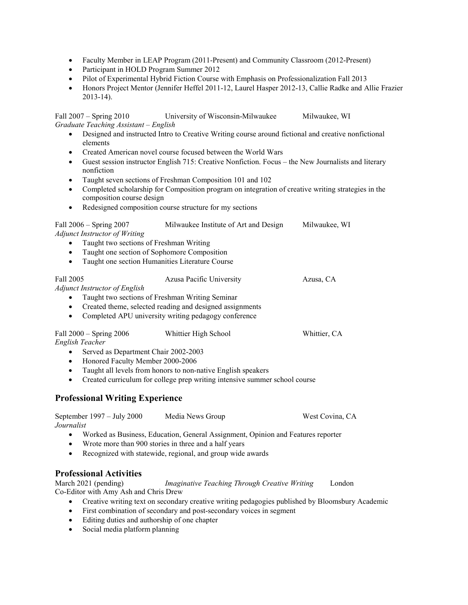- Faculty Member in LEAP Program (2011-Present) and Community Classroom (2012-Present)
- Participant in HOLD Program Summer 2012
- Pilot of Experimental Hybrid Fiction Course with Emphasis on Professionalization Fall 2013
- Honors Project Mentor (Jennifer Heffel 2011-12, Laurel Hasper 2012-13, Callie Radke and Allie Frazier 2013-14).

Fall 2007 – Spring 2010 University of Wisconsin-Milwaukee Milwaukee, WI *Graduate Teaching Assistant – English*

- Designed and instructed Intro to Creative Writing course around fictional and creative nonfictional elements
- Created American novel course focused between the World Wars
- Guest session instructor English 715: Creative Nonfiction. Focus the New Journalists and literary nonfiction
- Taught seven sections of Freshman Composition 101 and 102
- Completed scholarship for Composition program on integration of creative writing strategies in the composition course design
- Redesigned composition course structure for my sections

| Fall 2006 – Spring 2007 | Milwaukee Institute of Art and Design | Milwaukee, WI |
|-------------------------|---------------------------------------|---------------|
|-------------------------|---------------------------------------|---------------|

*Adjunct Instructor of Writing*

- Taught two sections of Freshman Writing
- Taught one section of Sophomore Composition
- Taught one section Humanities Literature Course

# Fall 2005 Azusa Pacific University Azusa, CA

*Adjunct Instructor of English*

- Taught two sections of Freshman Writing Seminar
- Created theme, selected reading and designed assignments
- Completed APU university writing pedagogy conference

| Fall $2000 -$ Spring $2006$          | Whittier High School | Whittier, CA |
|--------------------------------------|----------------------|--------------|
| English Teacher                      |                      |              |
| Served as Department Chair 2002-2003 |                      |              |

- Honored Faculty Member 2000-2006
- Taught all levels from honors to non-native English speakers
- Created curriculum for college prep writing intensive summer school course

# **Professional Writing Experience**

| September 1997 – July 2000 | Media News Group | West Covina, CA |
|----------------------------|------------------|-----------------|
| Journalist                 |                  |                 |

- Worked as Business, Education, General Assignment, Opinion and Features reporter
- Wrote more than 900 stories in three and a half years
- Recognized with statewide, regional, and group wide awards

# **Professional Activities**

March 2021 (pending) *Imaginative Teaching Through Creative Writing* London Co-Editor with Amy Ash and Chris Drew

- Creative writing text on secondary creative writing pedagogies published by Bloomsbury Academic
	- First combination of secondary and post-secondary voices in segment
	- Editing duties and authorship of one chapter
	- Social media platform planning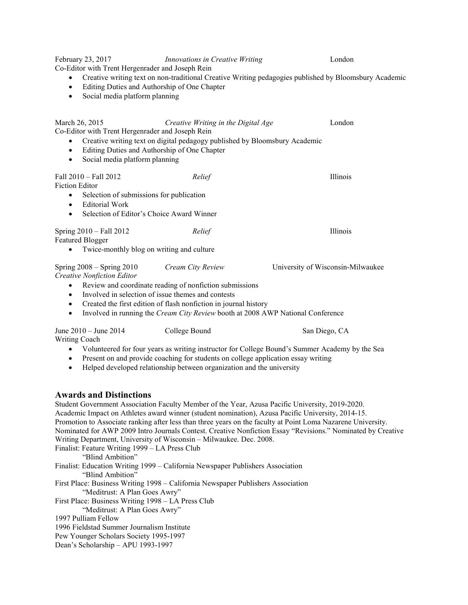February 23, 2017 *Innovations in Creative Writing* London Co-Editor with Trent Hergenrader and Joseph Rein • Creative writing text on non-traditional Creative Writing pedagogies published by Bloomsbury Academic • Editing Duties and Authorship of One Chapter • Social media platform planning March 26, 2015 *Creative Writing in the Digital Age* London Co-Editor with Trent Hergenrader and Joseph Rein • Creative writing text on digital pedagogy published by Bloomsbury Academic • Editing Duties and Authorship of One Chapter • Social media platform planning Fall 2010 – Fall 2012 *Relief* Illinois Fiction Editor • Selection of submissions for publication • Editorial Work • Selection of Editor's Choice Award Winner Spring 2010 – Fall 2012 *Relief* Illinois Featured Blogger • Twice-monthly blog on writing and culture Spring 2008 – Spring 2010 *Cream City Review* University of Wisconsin-Milwaukee *Creative Nonfiction Editor* • Review and coordinate reading of nonfiction submissions • Involved in selection of issue themes and contests • Created the first edition of flash nonfiction in journal history • Involved in running the *Cream City Review* booth at 2008 AWP National Conference June 2010 – June 2014 College Bound San Diego, CA Writing Coach • Volunteered for four years as writing instructor for College Bound's Summer Academy by the Sea • Present on and provide coaching for students on college application essay writing • Helped developed relationship between organization and the university **Awards and Distinctions**

Student Government Association Faculty Member of the Year, Azusa Pacific University, 2019-2020. Academic Impact on Athletes award winner (student nomination), Azusa Pacific University, 2014-15. Promotion to Associate ranking after less than three years on the faculty at Point Loma Nazarene University. Nominated for AWP 2009 Intro Journals Contest. Creative Nonfiction Essay "Revisions." Nominated by Creative Writing Department, University of Wisconsin – Milwaukee. Dec. 2008. Finalist: Feature Writing 1999 – LA Press Club "Blind Ambition" Finalist: Education Writing 1999 – California Newspaper Publishers Association "Blind Ambition" First Place: Business Writing 1998 – California Newspaper Publishers Association "Meditrust: A Plan Goes Awry" First Place: Business Writing 1998 – LA Press Club "Meditrust: A Plan Goes Awry" 1997 Pulliam Fellow 1996 Fieldstad Summer Journalism Institute Pew Younger Scholars Society 1995-1997 Dean's Scholarship – APU 1993-1997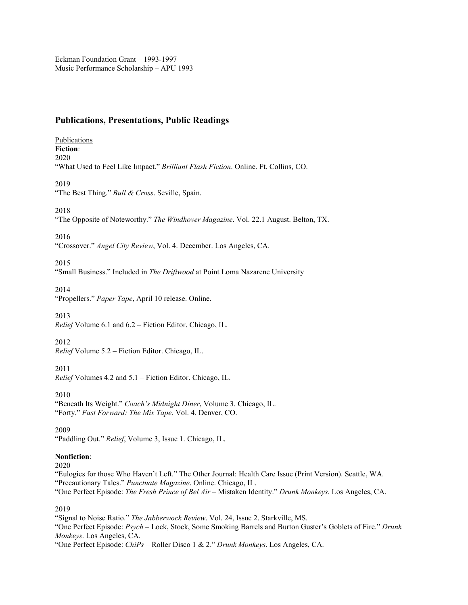# **Publications, Presentations, Public Readings**

Publications **Fiction**: 2020 "What Used to Feel Like Impact." *Brilliant Flash Fiction*. Online. Ft. Collins, CO.

2019

"The Best Thing." *Bull & Cross*. Seville, Spain.

2018

"The Opposite of Noteworthy." *The Windhover Magazine*. Vol. 22.1 August. Belton, TX.

2016

"Crossover." *Angel City Review*, Vol. 4. December. Los Angeles, CA.

2015

"Small Business." Included in *The Driftwood* at Point Loma Nazarene University

2014

"Propellers." *Paper Tape*, April 10 release. Online.

2013

*Relief* Volume 6.1 and 6.2 – Fiction Editor. Chicago, IL.

2012

*Relief* Volume 5.2 – Fiction Editor. Chicago, IL.

2011

*Relief* Volumes 4.2 and 5.1 – Fiction Editor. Chicago, IL.

2010

"Beneath Its Weight." *Coach's Midnight Diner*, Volume 3. Chicago, IL. "Forty." *Fast Forward: The Mix Tape*. Vol. 4. Denver, CO.

2009

"Paddling Out." *Relief*, Volume 3, Issue 1. Chicago, IL.

**Nonfiction**:

2020

"Eulogies for those Who Haven't Left." The Other Journal: Health Care Issue (Print Version). Seattle, WA. "Precautionary Tales." *Punctuate Magazine*. Online. Chicago, IL.

"One Perfect Episode: *The Fresh Prince of Bel Air* – Mistaken Identity." *Drunk Monkeys*. Los Angeles, CA.

2019

"Signal to Noise Ratio." *The Jabberwock Review*. Vol. 24, Issue 2. Starkville, MS.

"One Perfect Episode: *Psych* – Lock, Stock, Some Smoking Barrels and Burton Guster's Goblets of Fire." *Drunk Monkeys*. Los Angeles, CA.

"One Perfect Episode: *ChiPs* – Roller Disco 1 & 2." *Drunk Monkeys*. Los Angeles, CA.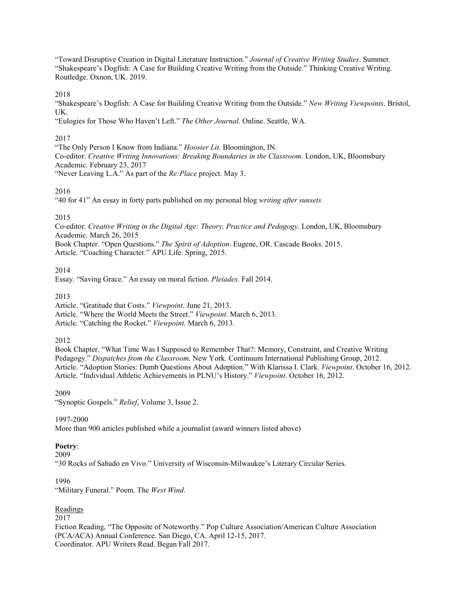"Toward Disruptive Creation in Digital Literature Instruction." *Journal of Creative Writing Studies*. Summer. "Shakespeare's Dogfish: A Case for Building Creative Writing from the Outside." Thinking Creative Writing. Routledge. Oxnon, UK. 2019.

2018

"Shakespeare's Dogfish: A Case for Building Creative Writing from the Outside." *New Writing Viewpoints*. Bristol, UK.

"Eulogies for Those Who Haven't Left." *The Other Journal*. Online. Seattle, WA.

### 2017

"The Only Person I Know from Indiana." *Hoosier Lit*. Bloomington, IN. Co-editor. *Creative Writing Innovations: Breaking Boundaries in the Classroom.* London, UK, Bloomsbury Academic. February 23, 2017 "Never Leaving L.A." As part of the *Re:Place* project. May 3.

### 2016

"40 for 41" An essay in forty parts published on my personal blog *writing after sunsets*

### 2015

Co-editor. *Creative Writing in the Digital Age: Theory, Practice and Pedagogy*. London, UK, Bloomsbury Academic. March 26, 2015 Book Chapter. "Open Questions." *The Spirit of Adoption*. Eugene, OR. Cascade Books. 2015.

Article. "Coaching Character." APU Life. Spring, 2015.

2014

Essay. "Saving Grace." An essay on moral fiction. *Pleiades*. Fall 2014.

2013

Article. "Gratitude that Costs." *Viewpoint*. June 21, 2013.

Article. "Where the World Meets the Street." *Viewpoint*. March 6, 2013.

Article. "Catching the Rocket." *Viewpoint*. March 6, 2013.

2012

Book Chapter. "What Time Was I Supposed to Remember That?: Memory, Constraint, and Creative Writing Pedagogy." *Dispatches from the Classroom*. New York. Continuum International Publishing Group, 2012. Article. "Adoption Stories: Dumb Questions About Adoption." With Klarissa I. Clark. *Viewpoint*. October 16, 2012. Article. "Individual Athletic Achievements in PLNU's History." *Viewpoint*. October 16, 2012.

#### 2009

"Synoptic Gospels." *Relief*, Volume 3, Issue 2.

#### 1997-2000

More than 900 articles published while a journalist (award winners listed above)

#### **Poetry**:

2009

"30 Rocks of Sabado en Vivo." University of Wisconsin-Milwaukee's Literary Circular Series.

#### 1996

"Military Funeral." Poem. The *West Wind*.

#### Readings

2017

Fiction Reading, "The Opposite of Noteworthy." Pop Culture Association/American Culture Association (PCA/ACA) Annual Conference. San Diego, CA. April 12-15, 2017. Coordinator. APU Writers Read. Began Fall 2017.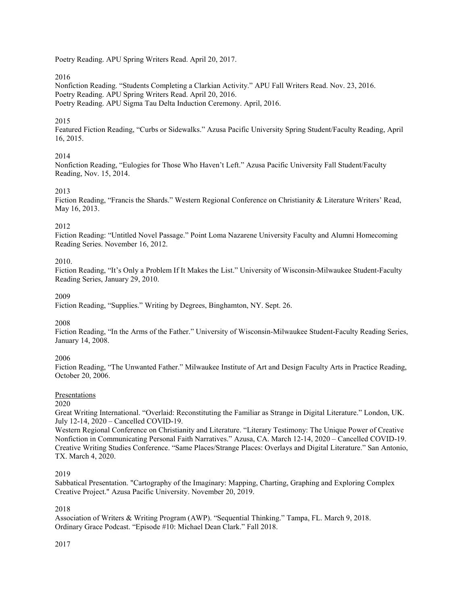Poetry Reading. APU Spring Writers Read. April 20, 2017.

2016

Nonfiction Reading. "Students Completing a Clarkian Activity." APU Fall Writers Read. Nov. 23, 2016. Poetry Reading. APU Spring Writers Read. April 20, 2016. Poetry Reading. APU Sigma Tau Delta Induction Ceremony. April, 2016.

### 2015

Featured Fiction Reading, "Curbs or Sidewalks." Azusa Pacific University Spring Student/Faculty Reading, April 16, 2015.

# 2014

Nonfiction Reading, "Eulogies for Those Who Haven't Left." Azusa Pacific University Fall Student/Faculty Reading, Nov. 15, 2014.

# 2013

Fiction Reading, "Francis the Shards." Western Regional Conference on Christianity & Literature Writers' Read, May 16, 2013.

### 2012

Fiction Reading: "Untitled Novel Passage." Point Loma Nazarene University Faculty and Alumni Homecoming Reading Series. November 16, 2012.

### 2010.

Fiction Reading, "It's Only a Problem If It Makes the List." University of Wisconsin-Milwaukee Student-Faculty Reading Series, January 29, 2010.

#### 2009

Fiction Reading, "Supplies." Writing by Degrees, Binghamton, NY. Sept. 26.

#### 2008

Fiction Reading, "In the Arms of the Father." University of Wisconsin-Milwaukee Student-Faculty Reading Series, January 14, 2008.

#### 2006

Fiction Reading, "The Unwanted Father." Milwaukee Institute of Art and Design Faculty Arts in Practice Reading, October 20, 2006.

# Presentations

2020

Great Writing International. "Overlaid: Reconstituting the Familiar as Strange in Digital Literature." London, UK. July 12-14, 2020 – Cancelled COVID-19.

Western Regional Conference on Christianity and Literature. "Literary Testimony: The Unique Power of Creative Nonfiction in Communicating Personal Faith Narratives." Azusa, CA. March 12-14, 2020 – Cancelled COVID-19. Creative Writing Studies Conference. "Same Places/Strange Places: Overlays and Digital Literature." San Antonio, TX. March 4, 2020.

#### 2019

Sabbatical Presentation. "Cartography of the Imaginary: Mapping, Charting, Graphing and Exploring Complex Creative Project." Azusa Pacific University. November 20, 2019.

#### 2018

Association of Writers & Writing Program (AWP). "Sequential Thinking." Tampa, FL. March 9, 2018. Ordinary Grace Podcast. "Episode #10: Michael Dean Clark." Fall 2018.

# 2017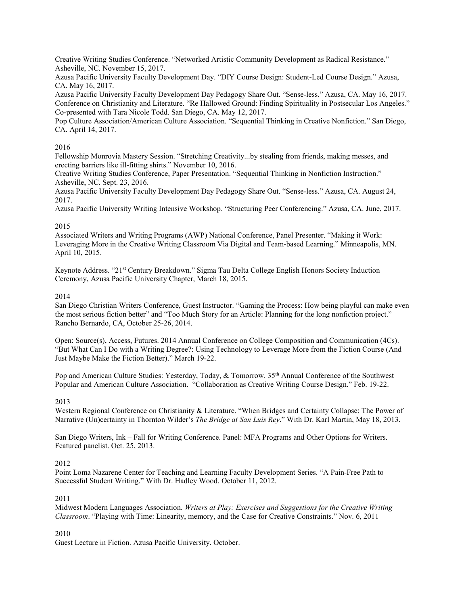Creative Writing Studies Conference. "Networked Artistic Community Development as Radical Resistance." Asheville, NC. November 15, 2017.

Azusa Pacific University Faculty Development Day. "DIY Course Design: Student-Led Course Design." Azusa, CA. May 16, 2017.

Azusa Pacific University Faculty Development Day Pedagogy Share Out. "Sense-less." Azusa, CA. May 16, 2017. Conference on Christianity and Literature. "Re Hallowed Ground: Finding Spirituality in Postsecular Los Angeles." Co-presented with Tara Nicole Todd. San Diego, CA. May 12, 2017.

Pop Culture Association/American Culture Association. "Sequential Thinking in Creative Nonfiction." San Diego, CA. April 14, 2017.

#### 2016

Fellowship Monrovia Mastery Session. "Stretching Creativity...by stealing from friends, making messes, and erecting barriers like ill-fitting shirts." November 10, 2016.

Creative Writing Studies Conference, Paper Presentation. "Sequential Thinking in Nonfiction Instruction." Asheville, NC. Sept. 23, 2016.

Azusa Pacific University Faculty Development Day Pedagogy Share Out. "Sense-less." Azusa, CA. August 24, 2017.

Azusa Pacific University Writing Intensive Workshop. "Structuring Peer Conferencing." Azusa, CA. June, 2017.

#### 2015

Associated Writers and Writing Programs (AWP) National Conference, Panel Presenter. "Making it Work: Leveraging More in the Creative Writing Classroom Via Digital and Team-based Learning." Minneapolis, MN. April 10, 2015.

Keynote Address. "21st Century Breakdown." Sigma Tau Delta College English Honors Society Induction Ceremony, Azusa Pacific University Chapter, March 18, 2015.

### 2014

San Diego Christian Writers Conference, Guest Instructor. "Gaming the Process: How being playful can make even the most serious fiction better" and "Too Much Story for an Article: Planning for the long nonfiction project." Rancho Bernardo, CA, October 25-26, 2014.

Open: Source(s), Access, Futures. 2014 Annual Conference on College Composition and Communication (4Cs). "But What Can I Do with a Writing Degree?: Using Technology to Leverage More from the Fiction Course (And Just Maybe Make the Fiction Better)." March 19-22.

Pop and American Culture Studies: Yesterday, Today, & Tomorrow. 35<sup>th</sup> Annual Conference of the Southwest Popular and American Culture Association. "Collaboration as Creative Writing Course Design." Feb. 19-22.

#### 2013

Western Regional Conference on Christianity & Literature. "When Bridges and Certainty Collapse: The Power of Narrative (Un)certainty in Thornton Wilder's *The Bridge at San Luis Rey*." With Dr. Karl Martin, May 18, 2013.

San Diego Writers, Ink – Fall for Writing Conference. Panel: MFA Programs and Other Options for Writers. Featured panelist. Oct. 25, 2013.

#### 2012

Point Loma Nazarene Center for Teaching and Learning Faculty Development Series. "A Pain-Free Path to Successful Student Writing." With Dr. Hadley Wood. October 11, 2012.

#### 2011

Midwest Modern Languages Association. *Writers at Play: Exercises and Suggestions for the Creative Writing Classroom*. "Playing with Time: Linearity, memory, and the Case for Creative Constraints." Nov. 6, 2011

#### 2010

Guest Lecture in Fiction. Azusa Pacific University. October.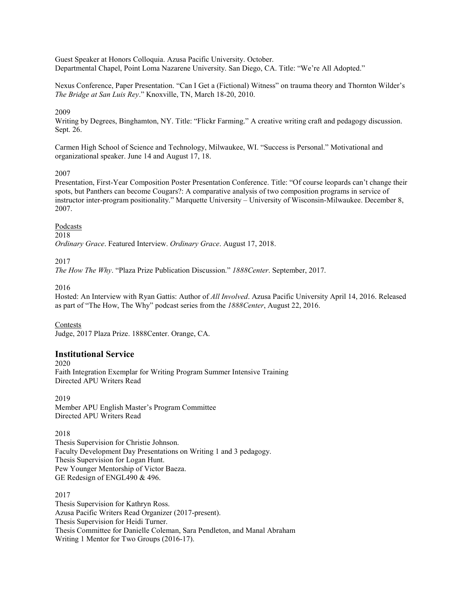Guest Speaker at Honors Colloquia. Azusa Pacific University. October. Departmental Chapel, Point Loma Nazarene University. San Diego, CA. Title: "We're All Adopted."

Nexus Conference, Paper Presentation. "Can I Get a (Fictional) Witness" on trauma theory and Thornton Wilder's *The Bridge at San Luis Rey*." Knoxville, TN, March 18-20, 2010.

#### 2009

Writing by Degrees, Binghamton, NY. Title: "Flickr Farming." A creative writing craft and pedagogy discussion. Sept. 26.

Carmen High School of Science and Technology, Milwaukee, WI. "Success is Personal." Motivational and organizational speaker. June 14 and August 17, 18.

#### 2007

Presentation, First-Year Composition Poster Presentation Conference. Title: "Of course leopards can't change their spots, but Panthers can become Cougars?: A comparative analysis of two composition programs in service of instructor inter-program positionality." Marquette University – University of Wisconsin-Milwaukee. December 8, 2007.

#### Podcasts

#### 2018

*Ordinary Grace*. Featured Interview. *Ordinary Grace*. August 17, 2018.

#### 2017

*The How The Why*. "Plaza Prize Publication Discussion." *1888Center*. September, 2017.

#### 2016

Hosted: An Interview with Ryan Gattis: Author of *All Involved*. Azusa Pacific University April 14, 2016. Released as part of "The How, The Why" podcast series from the *1888Center*, August 22, 2016.

#### Contests

Judge, 2017 Plaza Prize. 1888Center. Orange, CA.

#### **Institutional Service**

2020 Faith Integration Exemplar for Writing Program Summer Intensive Training Directed APU Writers Read

2019 Member APU English Master's Program Committee Directed APU Writers Read

2018

Thesis Supervision for Christie Johnson. Faculty Development Day Presentations on Writing 1 and 3 pedagogy. Thesis Supervision for Logan Hunt. Pew Younger Mentorship of Victor Baeza. GE Redesign of ENGL490 & 496.

2017 Thesis Supervision for Kathryn Ross. Azusa Pacific Writers Read Organizer (2017-present). Thesis Supervision for Heidi Turner. Thesis Committee for Danielle Coleman, Sara Pendleton, and Manal Abraham Writing 1 Mentor for Two Groups (2016-17).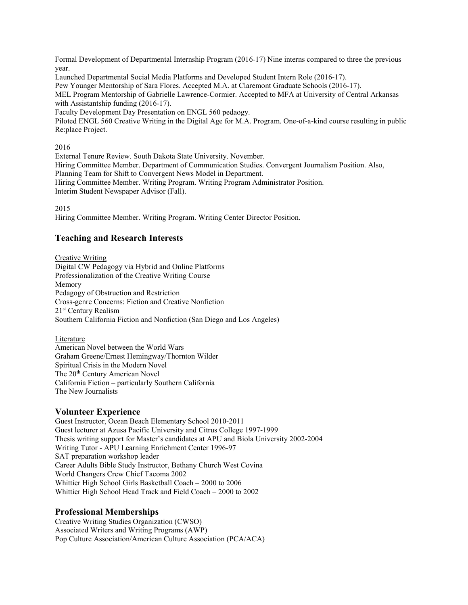Formal Development of Departmental Internship Program (2016-17) Nine interns compared to three the previous year.

Launched Departmental Social Media Platforms and Developed Student Intern Role (2016-17).

Pew Younger Mentorship of Sara Flores. Accepted M.A. at Claremont Graduate Schools (2016-17).

MEL Program Mentorship of Gabrielle Lawrence-Cormier. Accepted to MFA at University of Central Arkansas with Assistantship funding (2016-17).

Faculty Development Day Presentation on ENGL 560 pedaogy.

Piloted ENGL 560 Creative Writing in the Digital Age for M.A. Program. One-of-a-kind course resulting in public Re:place Project.

2016

External Tenure Review. South Dakota State University. November. Hiring Committee Member. Department of Communication Studies. Convergent Journalism Position. Also, Planning Team for Shift to Convergent News Model in Department. Hiring Committee Member. Writing Program. Writing Program Administrator Position. Interim Student Newspaper Advisor (Fall).

2015

Hiring Committee Member. Writing Program. Writing Center Director Position.

# **Teaching and Research Interests**

Creative Writing Digital CW Pedagogy via Hybrid and Online Platforms Professionalization of the Creative Writing Course Memory Pedagogy of Obstruction and Restriction Cross-genre Concerns: Fiction and Creative Nonfiction 21st Century Realism Southern California Fiction and Nonfiction (San Diego and Los Angeles)

Literature

American Novel between the World Wars Graham Greene/Ernest Hemingway/Thornton Wilder Spiritual Crisis in the Modern Novel The 20<sup>th</sup> Century American Novel California Fiction – particularly Southern California The New Journalists

# **Volunteer Experience**

Guest Instructor, Ocean Beach Elementary School 2010-2011 Guest lecturer at Azusa Pacific University and Citrus College 1997-1999 Thesis writing support for Master's candidates at APU and Biola University 2002-2004 Writing Tutor - APU Learning Enrichment Center 1996-97 SAT preparation workshop leader Career Adults Bible Study Instructor, Bethany Church West Covina World Changers Crew Chief Tacoma 2002 Whittier High School Girls Basketball Coach – 2000 to 2006 Whittier High School Head Track and Field Coach – 2000 to 2002

# **Professional Memberships**

Creative Writing Studies Organization (CWSO) Associated Writers and Writing Programs (AWP) Pop Culture Association/American Culture Association (PCA/ACA)